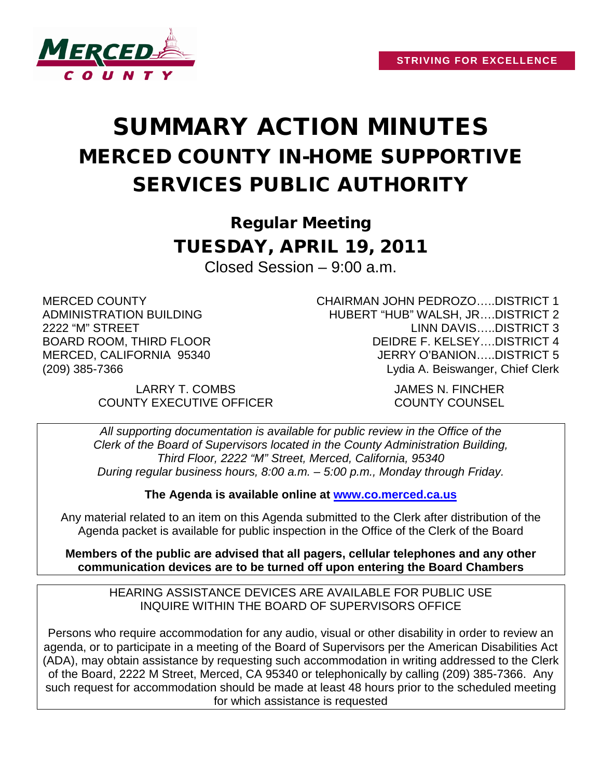

## SUMMARY ACTION MINUTES MERCED COUNTY IN-HOME SUPPORTIVE SERVICES PUBLIC AUTHORITY

Regular Meeting TUESDAY, APRIL 19, 2011 Closed Session – 9:00 a.m.

MERCED COUNTY ADMINISTRATION BUILDING 2222 "M" STREET BOARD ROOM, THIRD FLOOR MERCED, CALIFORNIA 95340 (209) 385-7366

LARRY T. COMBS JAMES N. FINCHER COUNTY EXECUTIVE OFFICER COUNTY COUNSEL

CHAIRMAN JOHN PEDROZO…..DISTRICT 1 HUBERT "HUB" WALSH, JR….DISTRICT 2 LINN DAVIS…..DISTRICT 3 DEIDRE F. KELSEY….DISTRICT 4 JERRY O'BANION…..DISTRICT 5 Lydia A. Beiswanger, Chief Clerk

*All supporting documentation is available for public review in the Office of the Clerk of the Board of Supervisors located in the County Administration Building, Third Floor, 2222 "M" Street, Merced, California, 95340 During regular business hours, 8:00 a.m. – 5:00 p.m., Monday through Friday.*

**The Agenda is available online at [www.co.merced.ca.us](http://www.co.merced.ca.us/)**

Any material related to an item on this Agenda submitted to the Clerk after distribution of the Agenda packet is available for public inspection in the Office of the Clerk of the Board

**Members of the public are advised that all pagers, cellular telephones and any other communication devices are to be turned off upon entering the Board Chambers**

HEARING ASSISTANCE DEVICES ARE AVAILABLE FOR PUBLIC USE INQUIRE WITHIN THE BOARD OF SUPERVISORS OFFICE

Persons who require accommodation for any audio, visual or other disability in order to review an agenda, or to participate in a meeting of the Board of Supervisors per the American Disabilities Act (ADA), may obtain assistance by requesting such accommodation in writing addressed to the Clerk of the Board, 2222 M Street, Merced, CA 95340 or telephonically by calling (209) 385-7366. Any such request for accommodation should be made at least 48 hours prior to the scheduled meeting for which assistance is requested